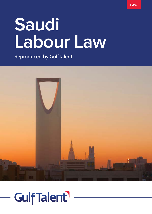# **Saudi Labour Law**

Reproduced by GulfTalent



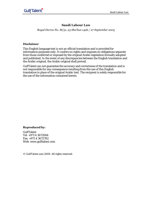# **Saudi Labour Law**

*Royal Decree No. M/51, 23 Sha'ban 1426 / 27 September 2005*

#### **Disclaimer**

This English language text is not an official translation and is provided for information purposes only. It confers no rights and imposes no obligations separate from those conferred or imposed by the original Arabic legislation formally adopted and published. In the event of any discrepancies between the English translation and the Arabic original, the Arabic original shall prevail.

GulfTalent can not guarantee the accuracy and correctness of the translation and is not responsible for any consequence resulting from the use of this English translation in place of the original Arabic text. The recipient is solely responsible for the use of the information contained herein.

# **Reproduced by:**

GulfTalent Tel: +971 4 3672084 Fax: +971 4 3672782 Web: [www.gulftalent.com](http://www.gulftalent.com/)

© GulfTalent.com 2008. All rights reserved.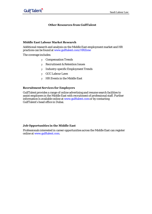# **Other Resources from GulfTalent**

#### **Middle East Labour Market Research**

Additional research and analysis on the Middle East employment market and HR practices can be found at [www.gulftalent.com/HRZone](http://www.gulftalent.com/HRZone)

The coverage includes:

- y Compensation Trends
- y Recruitment & Retention Issues
- y Industry-specific Employment Trends
- y GCC Labour Laws
- y HR Events in the Middle East

# **Recruitment Services for Employers**

GulfTalent provides a range of online advertising and resume search facilities to assist employers in the Middle East with recruitment of professional staff. Further information is available online at [www.gulftalent.com or](http://www.gulftalent.com/) by contacting GulfTalent's head office in Dubai.

# **Job Opportunities in the Middle East**

Professionals interested in career opportunities across the Middle East can register online at [www.gulftalent.com.](http://www.gulftalent.com/)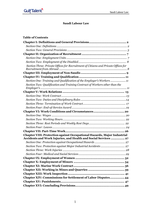# **Saudi Labour Law**

# **Table of Contents**

| Section Three: Private Offices for Recruitment of Citizens and Private Offices for                                                         |
|--------------------------------------------------------------------------------------------------------------------------------------------|
|                                                                                                                                            |
|                                                                                                                                            |
| Section One: Training and Qualification of the Employer's Workers11                                                                        |
| Section Two: Qualification and Training Contract of Workers other than the                                                                 |
|                                                                                                                                            |
|                                                                                                                                            |
|                                                                                                                                            |
|                                                                                                                                            |
|                                                                                                                                            |
|                                                                                                                                            |
|                                                                                                                                            |
|                                                                                                                                            |
|                                                                                                                                            |
|                                                                                                                                            |
|                                                                                                                                            |
| Chapter VIII: Protection against Occupational Hazards, Major Industrial<br>Accidents and Work Injuries, and Health and Social Services  27 |
|                                                                                                                                            |
|                                                                                                                                            |
|                                                                                                                                            |
|                                                                                                                                            |
|                                                                                                                                            |
|                                                                                                                                            |
|                                                                                                                                            |
|                                                                                                                                            |
|                                                                                                                                            |
| Chapter XIV: Commissions for Settlement of Labor Disputes 44                                                                               |
|                                                                                                                                            |
|                                                                                                                                            |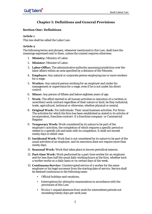# **Chapter I: Definitions and General Provisions**

# **Section One: Definitions**

#### **Article 1**

This law shall be called the Labor Law.

#### **Article 2**

The following terms and phrases, whenever mentioned in this Law, shall have the meanings expressed next to them, unless the context requires otherwise.

- 1. **Ministry:** Ministry of Labor.
- 2. **Minister:** Minister of Labor.
- 3. **Labor Office:** The administrative authority assuming jurisdiction over the labor affairs within an area specified by a decision of the Minister.
- 4. **Employer:** Any natural or corporate person employing one or more workers for a wage.
- 5. **Worker:** Any natural person working for an employer and under his management or supervision for a wage, even if he is not under his direct control.
- 6. **Minor:** Any person of fifteen and below eighteen years of age.
- 7. **Work:** The effort exerted in all human activities in execution of a (written or unwritten) work contract regardless of their nature or kind, be they industrial, trade, agricultural, technical or otherwise, whether physical or mental.
- 8. **Original Work:** For individuals: Their usual business activities. For firms: The activities for which the firm has been established as stated in its articles of incorporation, franchise contract- if a franchise company- or Commercial Register.
- 9. **Temporary Work:** Work considered by its nature to be part of the employer's activities, the completion of which requires a specific period or relates to a specific job and ends with its completion. It shall not exceed ninety days in either case.
- 10. **Incidental Work:** Work that is not considered by its nature to be part of the usual activities of an employer, and its execution does not require more than ninety days.
- 11. **Seasonal Work:** Work that takes place in known periodical seasons.
- 12. **Part-time Work:** Work performed by a part-time worker for an employer and for less than half the usual daily working hours at the firm, whether such a worker works on a daily basis or on certain days of the week.
- 13. **Continuous Service:** Uninterrupted service of a worker for the same employer or his legal successor from the starting date of service. Service shall be deemed continuous in the following cases:
	- Official holidays and vacations.
	- Interruptions for sitting for examinations in accordance with the provisions of this Law.
	- Worker's unpaid absences from work for intermittent periods not exceeding twenty days per work year.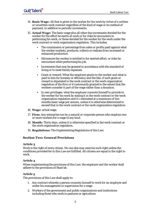- 14. **Basic Wage:** All that is given to the worker for his work by virtue of a written or unwritten work contract regardless of the kind of wage or its method of payment, in addition to periodic increments.
- 15. **Actual Wage:** The basic wage plus all other due increments decided for the worker for the effort he exerts at work or for risks he encounters in performing his work, or those decided for the worker for the work under the work contract or work organization regulation. This includes:
	- The commission or percentage from sales or profits paid against what the worker markets, produces, collects or realizes from increased or enhanced production.
	- Allowances the worker is entitled to for exerted effort, or risks he encounters while performing his job.
	- Increments that may be granted in accordance with the standard of living or to meet family expenses.
	- Grant or reward: What the employer grants to the worker and what is paid to him for honesty or efficiency and the like, if such grant or reward is stipulated in the work contract or the work organization regulation of the firm or if customarily granted to the extent that the workers consider it part of the wage rather than a donation.
	- In rem privileges: what the employer commits himself to provide to the worker for his work by stating it in the work contract or the work organization regulation and it's estimated at a maximum of two months basic wage per annum, unless it is otherwise determined to exceed that in the work contract or the work organization regulation.
- 16. **Wage:** actual wage.
- 17. **Firm:** Any enterprise run by a natural or corporate person who employs one or more workers for a wage of any kind.
- 18. **Month:** Thirty days, unless it is otherwise specified in the work contract or the work organization regulation.
- 19. **Regulations:** The Implementing Regulations of this Law.

# **Section Two: General Provisions**

#### **Article 3**

Work is the right of every citizen. No one else may exercise such right unless the conditions provided for in this Law are fulfilled. All citizens are equal in the right to work.

# **Article 4**

When implementing the provisions of this Law, the employer and the worker shall adhere to the provisions of Shari'ah.

# **Article 5**

The provisions of this Law shall apply to:

- 1. Any contract whereby a person commits himself to work for an employer and under his management or supervision for a wage.
- 2. Workers of the government and public organizations and institutions including those who work in pastures or agriculture.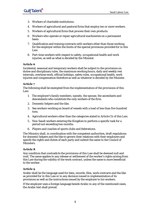- 3. Workers of charitable institutions.
- 4. Workers of agricultural and pastoral firms that employ ten or more workers.
- 5. Workers of agricultural firms that process their own products.
- 6. Workers who operate or repair agricultural machineries on a permanent basis.
- 7. Qualification and training contracts with workers other than those working for the employer within the limits of the special provisions provided for in this Law.
- 8. Part-time workers with respect to safety, occupational health and work injuries, as well as what is decided by the Minister.

Incidental, seasonal and temporary workers shall be subject to the provisions on duties and disciplinary rules, the maximum working hours, daily and weekly rest intervals, overtime work, official holidays, safety rules, occupational health, work injuries and compensation therefore as well as whatever is decided by the Minister.

# **Article 7**

The following shall be exempted from the implementation of the provisions of this Law:

- 1. The employer's family members, namely, the spouse, the ascendants and descendants who constitute the only workers of the firm.
- 2. Domestic helpers and the like.
- 3. Sea workers working on board of vessels with a load of less than five hundred tons.
- 4. Agricultural workers other than the categories stated in Article (5) of this Law.
- 5. Non-Saudi workers entering the Kingdom to perform a specific task for a period not exceeding two months.
- 6. Players and coaches of sports clubs and federations.

The Ministry shall, in coordination with the competent authorities, draft regulations for domestic helpers and the like to govern their relations with their employers and specify the rights and duties of each party and submit the same to the Council of Ministers.

# **Article 8**

Any condition that contradicts the provisions of this Law shall be deemed null and void. The same applies to any release or settlement of the worker's rights arising from this Law during the validity of the work contract, unless the same is more beneficial to the worker.

# **Article 9**

Arabic shall be the language used for data, records, files, work contracts and the like as provided for in this Law or in any decision issued in implementation of its provisions as well as the instructions issued by the employer to his workers.

If the employer uses a foreign language beside Arabic in any of the mentioned cases, the Arabic text shall prevail.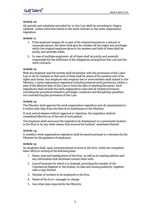All periods and schedules provided for in this Law shall be according to Hegira calendar, unless otherwise stated in the work contract or the work organization regulation.

# **Article 11**

- 1. If the employer assigns all or part of his original business to a natural or corporate person, the latter shall give his workers all the rights and privileges which the original employer gives to his workers and both of them shall be jointly and severally liable.
- 2. In case of multiple employers, all of them shall be jointly and severally responsible for the fulfilment of the obligations arising from this Law and the work contracts.

#### **Article 12**

Both the employer and the worker shall be familiar with the provisions of the Labor Law in all its contents so that each of them shall be aware of his position and of his rights and duties. Any employer who employs ten or more workers shall submit to the Ministry, a work organization regulation including internal work provisions, within a year of the effective date of this Law or from the date of reaching the quota. Such regulations shall include the work organization rules and all related provisions including the provisions related to privileges, violations and disciplinary penalties, not contradicting the provisions of this Law.

# **Article 13**

The Ministry shall approve the work organization regulation and all amendments to it within sixty days from the date of its submission to the Ministry.

If such period elapses without approval or objection, the regulation shall be considered effective as of the end of such period.

The employer shall announce the regulation by displaying it in a prominent location in the firm or by any other means that ensures the workers' awareness thereof.

# **Article 14**

A model(s) work organization regulation shall be issued pursuant to a decision by the Minister for the guidance of employers.

#### **Article 15**

An employer shall, upon commencement of work in the firm, notify the competent labor office in writing of the following data:

- 1. Name, type and headquarters of the firm, as well as its mailing address and any information that facilitates contact there with.
- 2. Line of business for which it is licensed, providing the number of the Commercial Register or the license, its date and issuing authority, together with a copy thereof.
- 3. Number of workers to be employed in the firm.
- 4. Name of the firm's manager in-charge.
- 5. Any other data required by the Ministry.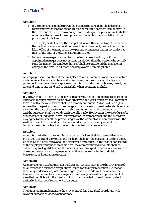- 1. If the employer is unable to run the business in person, he shall designate a representative at the workplace. In case of multiple partners or managers in the firm, one of them, from among those residing at the place of work, shall be nominated to represent the employer and be liable for any violation of the provisions of this Law.
- 2. The employer shall notify the competent labor office in writing of the name of the partner or manager, and, in case of his replacement, he shall notify the labor office of the name of the new partner or manager within seven days at most of the date of the latter's assuming the job.
- 3. In case no manager is appointed to be in charge of the firm, or if the appointed manager does not assume his duties, then the person who actually runs the firm or the employer himself shall be considered the manager in charge of the firm. In all cases, the employer is ultimately liable.

# **Article 17**

An employer shall maintain at the workplace records, statements and files the nature and contents of which shall be specified in the regulations. He shall display at a prominent location at the workplace a schedule of working hours, breaks, weekly rest days and time of start and end of each shift, when operating in shifts.

# **Article 18**

If the ownership of a firm is transferred to a new owner or a change takes place in its legal form through merger, partition or otherwise, the work contracts shall remain in force in both cases and service shall be deemed continuous. As for workers' rights accrued for the period prior to the change such as wages or unrealized end- of- service award on the date of transfer of ownership and other rights, the predecessor and the successor shall be jointly and severally liable. However, in the case of transfer of ownership of individual firms, for any reason, the predecessor and the successor may agree to transfer all the previous rights of the worker to the new owner with the written consent of the worker. If the worker disapproves, he may request the termination of his contract and collect his dues from the predecessor.

# **Article 19**

Amounts due to the worker or his heirs under this Law shall be deemed first rate privileged debts and the worker and his heirs shall, for the purpose of settling them, be entitled to a privilege over all the employer's properties. In the case of bankruptcy of the employer or liquidation of his firm, the aforementioned amounts shall be entered as privileged debts and the worker is paid an expedited amount equivalent to one month wage prior to payment of any other expenses including judicial, bankruptcy or liquidation expenses.

# **Article 20**

An employer or a worker may not perform any act that may abuse the provisions of this Law or the decisions or regulations issued for its implementation. Neither of them may undertake any act that infringes upon the freedom of the other or the freedom of other workers or employers to realize any interest or impose a point of view that conflicts with the freedom of work or the jurisdiction of the competent authority in charge of settlement of disputes.

# **Article 21**

The Minister, in implementing the provisions of this Law, shall coordinate with relevant authorities whenever necessary.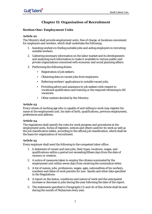# **Chapter II: Organization of Recruitment**

# **Section One: Employment Units**

# **Article 22**

The Ministry shall provide employment units, free of charge, at locations convenient for employers and workers, which shall undertake the following:

- 1. Assisting workers in finding suitable jobs and aiding employers in recruiting suitable workers.
- 2. Gathering necessary information on the labor market and its developments and analyzing such information to make it available to various public and private organizations concerned with economic and social planning affairs.
- 3. Performing the following duties:
	- Registration of job seekers.
	- Obtaining data on vacant jobs from employers.
	- Referring workers' applications to suitable vacant jobs.
	- Providing advice and assistance to job seekers with respect to vocational qualification and training or the required retraining to fill vacancies.
	- Other matters decided by the Ministry.

# **Article 23**

Every citizen of working age who is capable of and willing to work may register his name at the employment unit, his date of birth, qualifications, previous employment, preferences and address.

# **Article 24**

The regulations shall specify the rules for work progress and procedures at the employment units, forms of registers, notices and others used for its work as well as the job classification tables, according to the official job classification, which shall be the basis for organization of recruitment.

# **Article 25**

Every employer shall send the following to the competent labor office:

- 1. A statement of vacant and new jobs, their types, locations, wages, and qualifications within a period not exceeding fifteen days from the date of vacancy or creation.
- 2. A notice of measures taken to employ the citizens nominated by the employment unit within seven days from receiving the nomination letter.
- 3. A list of names, jobs, professions, wages, ages, nationalities of his workers, numbers and dates of work permits for non- Saudis and other data specified in the Regulations.
- 4. A report on the status, conditions and nature of work and the anticipated increase or decrease in jobs during the year following the date of the report.
- 5. The statements specified in Paragraphs (3) and (4) of this Article shall be sent during the month of Muharram every year.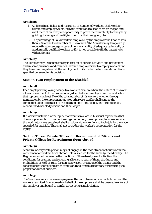- 1. All firms in all fields, and regardless of number of workers, shall work to attract and employ Saudis, provide conditions to keep them on the job and avail them of an adequate opportunity to prove their suitability for the job by guiding, training and qualifying them for their assigned jobs.
- 2. The percentage of Saudi workers employed by the employer shall not be less than 75% of the total number of his workers. The Minister may temporarily reduce this percentage in case of non-availability of adequate technically or academically qualified workers or if it is not possible to fill the vacant jobs with nationals.

#### **Article 27**

The Minister may - when necessary in respect of certain activities and professions and in some provinces and counties - require employers not to employ workers until they have been registered at the employment units under the terms and conditions specified pursuant to his decision.

# **Section Two: Employment of the Disabled**

#### **Article 28**

Each employer employing twenty-five workers or more where the nature of his work allows recruitment of the professionally disabled shall employ a number of disabled that represents at least 4% of the total number of his workers whether through nomination by the employment units or otherwise, and he shall send to the competent labor office a list of the jobs and posts occupied by the professionally rehabilitated disabled persons and their wages.

#### **Article 29**

If a worker sustains a work injury that results in a loss in his usual capabilities that does not prevent him from performing another job, the employer, in whose service the work injury was sustained, shall employ said worker in a suitable job for the wage specified for such job. This shall not prejudice the worker's compensation for the injury.

# **Section Three: Private Offices for Recruitment of Citizens and Private Offices for Recruitment from Abroad**

# **Article 30**

A natural or corporate person may not engage in the recruitment of Saudis or in the recruitment of workers from abroad unless licensed for the same by the Ministry. The Regulations shall determine the functions of these two types of activities, the conditions for granting and renewing a license to each of them, the duties and prohibitions as well as rules for non-renewal or revocation of the license and the consequences thereof and other conditions and controls necessary for ensuring the proper conduct of business.

# **Article 31**

The Saudi workers to whose employment the recruitment offices contributed and the workers recruited from abroad on behalf of the employers shall be deemed workers of the employer and bound to him by direct contractual relation.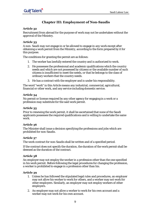# **Chapter III: Employment of Non-Saudis**

#### **Article 32**

Recruitment from abroad for the purpose of work may not be undertaken without the approval of the Ministry.

#### **Article 33**

A non- Saudi may not engage in or be allowed to engage in any work except after obtaining a work permit from the Ministry, according to the form prepared by it for this purpose.

The conditions for granting the permit are as follows:

- 1. The worker has lawfully entered the country and is authorized to work.
- 2. He possesses the professional and academic qualifications which the country needs and which are not possessed by citizens or the available number of such citizens is insufficient to meet the needs, or that he belongs to the class of ordinary workers that the country needs.
- 3. He has a contract with the employer and is under his responsibility.

The word "work" in this Article means any industrial, commercial, agricultural, financial or other work, and any service including domestic service.

#### **Article 34**

No permit or license required by any other agency for engaging in a work or a profession may substitute for the said work permit.

#### **Article 35**

Prior to renewing the work permit, it shall be ascertained that none of the Saudi applicants possesses the required qualifications and is willing to undertake the same work.

# **Article 36**

The Minister shall issue a decision specifying the professions and jobs which are prohibited for non-Saudis.

# **Article 37**

The work contract for non-Saudis shall be written and of a specified period.

If the contract does not specify the duration, the duration of the work permit shall be deemed as the duration of the contract.

#### **Article 38**

An employer may not employ the worker in a profession other than the one specified in his work permit. Before following the legal procedures for changing the profession, a worker is prohibited to engage in a profession other than his.

#### **Article 39**

- 1. Unless he has followed the stipulated legal rules and procedures, an employer may not allow his worker to work for others, and a worker may not work for other employers. Similarly, an employer may not employ workers of other employers.
- 2. An employer may not allow a worker to work for his own account and a worker may not work for his own account.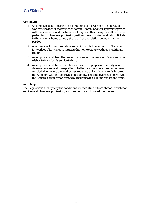- 1. An employer shall incur the fees pertaining to recruitment of non-Saudi workers, the fees of the residence permit (Iqama) and work permit together with their renewal and the fines resulting from their delay, as well as the fees pertaining to change of profession, exit and re-entry visas and return tickets to the worker's home country at the end of the relation between the two parties.
- 2. A worker shall incur the costs of returning to his home country if he is unfit for work or if he wishes to return to his home country without a legitimate reason.
- 3. An employer shall bear the fees of transferring the services of a worker who wishes to transfer his service to him.
- 4. An employer shall be responsible for the cost of preparing the body of a deceased worker and transporting it to the location where the contract was concluded, or where the worker was recruited unless the worker is interred in the Kingdom with the approval of his family. The employer shall be relieved if the General Organization for Social Insurance (GOSI) undertakes the same.

# **Article 41**

The Regulations shall specify the conditions for recruitment from abroad, transfer of services and change of profession, and the controls and procedures thereof.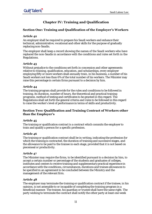# **Chapter IV: Training and Qualification**

# **Section One: Training and Qualification of the Employer's Workers**

# **Article 42**

An employer shall be required to prepare his Saudi workers and enhance their technical, administrative, vocational and other skills for the purpose of gradually replacing non-Saudis.

The employer shall keep a record showing the names of the Saudi workers who have replaced the non-Saudis in accordance with the conditions and rules set forth in the Regulations.

# **Article 43**

Without prejudice to the conditions set forth in concession and other agreements relative to training, qualification, education, and scholarships, every employer employing fifty or more workers shall annually train, in his business, a number of his Saudi workers not less than 6% of the total number of his workers. The Minister may raise this percentage in certain firms pursuant to a decision by him.

# **Article 44**

The training program shall provide for the rules and conditions to be followed in training, its duration, number of hours, the theoretical and practical training programs, method of testing and certificates to be granted in this regard. The Regulations shall set forth the general criteria and rules to be followed in this regard to raise the worker's level of performance in terms of skills and productivity.

# **Section Two: Qualification and Training Contract of Workers other than the Employer's**

# **Article 45**

The training or qualification contract is a contract which commits the employer to train and qualify a person for a specific profession.

# **Article 46**

The training or qualification contract shall be in writing, indicating the profession for which the training is contracted, the duration of training and successive stages, and the allowance to be paid to the trainee in each stage, provided that it is not based on piecemeal or productivity.

# **Article 47**

The Minister may require the firms, to be identified pursuant to a decision by him, to accept a certain number or percentage of the students and graduates of colleges, institutes and centers to receive training and supplementary practical experience in accordance with the conditions, circumstances, durations and trainee allowances to be specified in an agreement to be concluded between the Ministry and the management of the relevant firm.

# **Article 48**

The employer may terminate the training or qualification contract if the trainee, in his opinion, is not amenable to or incapable of completing the training program in a beneficial manner. The trainee, his guardian or trustee shall have the same right. The party wishing to terminate the contract shall notify the other party at least one week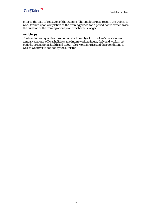prior to the date of cessation of the training. The employer may require the trainee to work for him upon completion of the training period for a period not to exceed twice the duration of the training or one year, whichever is longer.

# **Article 49**

The training and qualification contract shall be subject to this Law's provisions on annual vacations, official holidays, maximum working hours, daily and weekly rest periods, occupational health and safety rules, work injuries and their conditions as well as whatever is decided by the Minister.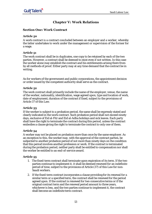# **Chapter V: Work Relations**

# **Section One: Work Contract**

# **Article 50**

A work contract is a contract concluded between an employer and a worker, whereby the latter undertakes to work under the management or supervision of the former for a wage.

# **Article 51**

The work contract shall be in duplicates, one copy to be retained by each of the two parties. However, a contract shall be deemed to exist even if not written. In this case the worker alone may establish the contract and his entitlements arising there from by all methods of proof. Either party may at any time demand that the contract be in writing.

As for workers of the government and public corporations, the appointment decision or order issued by the competent authority shall serve as the contract.

#### **Article 52**

The work contract shall primarily include the name of the employer, venue, the name of the worker, nationality, identification, wage agreed upon, type and location of work, date of employment, duration of the contract if fixed, subject to the provisions of Article 37 of this Law.

#### **Article 53**

If the worker is subject to a probation period, the same shall be expressly stated and clearly indicated in the work contract. Such probation period shall not exceed ninety days, exclusive of Eid al-Fitr and Eid al-Adha holidays and sick leaves. Each party shall have the right to terminate the contract during this period, unless the contract embodies a clause giving the right to terminate the contract to only one of them.

# **Article 54**

A worker may not be placed on probation more than once by the same employer. As an exception to this, the worker may, with the approval of the contract parties, be subjected to another probation period of not more than ninety days on the condition that this period involves another profession or work. If the contract is terminated during the probation period, neither party shall be entitled to compensation nor shall the worker be entitled to an end-of-service award.

# **Article 55**

- 1. The fixed-term contract shall terminate upon expiration of its term. If the two parties continue to implement it, it shall be deemed renewed for an indefinite period of time, subject to the provisions of Article (37) of this Law for non-Saudi workers.
- 2. If the fixed-term contract incorporates a clause providing for its renewal for a similar term or a specified term, the contract shall be renewed for the period agreed upon. If the contract is renewed for two consecutive terms or if the original contract term and the renewal period amount to three years, whichever is less, and the two parties continue to implement it, the contract shall become an indefinite term contract.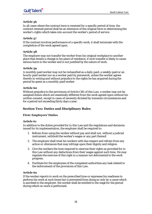In all cases where the contract term is renewed for a specific period of time, the contract renewal period shall be an extension of the original term in determining the worker's rights which takes into account the worker's period of service.

# **Article 57**

If the contract involves performance of a specific work, it shall terminate with the completion of the work agreed upon.

# **Article 58**

The employer may not transfer the worker from his original workplace to another place that entails a change in his place of residence, if such transfer is likely to cause serious harm to the worker and is not justified by the nature of work.

#### **Article 59**

A monthly-paid worker may not be reclassified as a daily-paid, a weekly-paid or an hourly-paid worker nor as a worker paid by piecework, unless the worker agrees thereto in writing and without prejudice to the rights he has acquired during the period he spent as a monthly-paid worker.

#### **Article 60**

Without prejudice to the provisions of Article (38) of this Law, a worker may not be assigned duties which are essentially different from the work agreed upon without his written consent, except in cases of necessity dictated by transient circumstances and for a period not exceeding thirty days a year.

# **Section Two: Duties and Disciplinary Rules**

# **First: Employers' Duties**

#### **Article 61**

In addition to the duties provided for in this Law and the regulations and decisions issued for its implementation, the employer shall be required to:

- 1. Refrain from using the worker without pay and shall not, without a judicial instrument, withhold the worker's wages or any part thereof.
- 2. The employer shall treat his workers with due respect and refrain from any action or utterances that may infringe upon their dignity and religion.
- 3. Give the workers the time required to exercise their rights as provided for in this Law without any deductions from their wages against such time. He may regulate the exercise of this right in a manner not detrimental to the work progress.
- 4. Facilitate for the employees of the competent authorities any task related to the enforcement of the provisions of this Law.

# **Article 62**

If the worker reports to work on the prescribed time or expresses his readiness to perform his work at such times but is prevented from doing so only by a cause which is ascribed to the employer, the worker shall be entitled to the wage for the period during which no work is performed.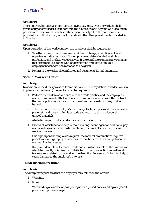The employer, his agents, or any person having authority over the workers shall forbid entry of any illegal substances into the places of work. Anyone who is found in possession of or consumes such substance shall be subject to the punishments provided for in this Law on, without prejudice to the other punishments provided for in Shari'ah.

#### **Article 64**

Upon expiration of the work contract, the employer shall be required to:

- 1. Give the worker, upon his request and free of charge, a certificate of work experience, indicating date of his employment, date of end of work, his profession, and the last wage received. If the certificate contains any remarks that are prejudicial to the worker's reputation or likely to limit his employment chances, the reasons shall be given.
- 2. Return to the worker all certificates and documents he had submitted.

#### **Second: Worker's Duties**

#### **Article 65**

In addition to the duties provided for in this Law and the regulations and decisions in implementation thereof, the worker shall be required to:

- 1. Perform the work in accordance with the trade practice and the employer's instructions provided that such instructions do not conflict with the contract, the law or public morality and that they do not expose him to any undue hazards.
- 2. Take due care of the employer's machinery, tools, supplies and raw materials placed at his disposal or in his custody and return to the employers the unused materials.
- 3. Abide by proper conduct and ethical norms during work.
- 4. Extend all assistance and help without making it contingent on additional pay in cases of disasters or hazards threatening the workplace or the persons working therein.
- 5. Undergo, upon the employer's request, the medical examinations required prior to or during employment to ensure that he is free from occupational or communicable diseases.
- 6. Keep confidential the technical, trade and industrial secrets of the products or which he directly or indirectly contributed to their production, as well as all trade secrets related to the work or the firm, the disclosure of which is likely to cause damage to the employer's interests.

#### **Third: Disciplinary Rules**

#### **Article 66**

The disciplinary penalties that the employer may inflict on the worker:

- 1. Warning.
- 2. Fines.
- 3. Withholding allowance or postponing it for a period not exceeding one year if prescribed by the employer.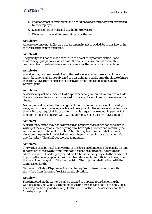- 4. Postponement of promotion for a period not exceeding one year if prescribed by the employer.
- 5. Suspension from work and withholding of wages.
- 6. Dismissal from work in cases set forth by the law.

An employer may not inflict on a worker a penalty not provided for in this Law or in the work organization regulation.

#### **Article 68**

The penalty shall not be made harsher in the event of repeated violation if one hundred eighty days have elapsed since the previous violation was committed, calculated from the date the worker is informed of the penalty for that violation.

#### **Article 69**

A worker may not be accused of any offence discovered after the elapse of more than thirty days, nor shall he be subjected to a disciplinary penalty after the elapse of more than thirty days from conclusion of the investigation and establishment of the worker's guilt.

#### **Article 70**

A worker may not be subjected to disciplinary penalty for an act committed outside the workplace unless such act is related to the job, the employer or the manager incharge.

Nor may a worker be fined for a single violation an amount in excess of a five-day wage, and no more than one penalty shall be applied for the same violation. No more than a five-day wage shall be deducted from his wages in one month in payment of fines, or his suspension from work without pay may not exceed five days a month.

#### **Article 71**

A disciplinary action may not be imposed on a worker except after notifying him in writing of the allegations, interrogating him, hearing his defence and recording the same in minutes to be kept in his file. The interrogation may be verbal in minor violations the penalty for which does not go beyond a warning or a deduction of a one-day salary. This shall be recorded in minutes.

#### **Article 72**

The worker shall be notified in writing of the decision of imposing the penalty on him. If he refuses to receive the same or if he is absent, the notice shall be sent to the address shown in his file by registered mail. The worker may object to the decision of imposing the penalty upon him within fifteen days, excluding official holidays, from the date of notifying him of the final decision. The objection shall be filed with the Commission for the

Settlement of Labor Disputes which shall be required to issue its decision within thirty days from the date of registering the objection.

#### **Article 73**

Fines imposed on the workers shall be entered in a special record, showing the worker's name, his wages, the amount of the fine, reasons and date of the fine. Such fines may not be disposed of except for the benefit of the firm's workers, upon the Ministry's approval.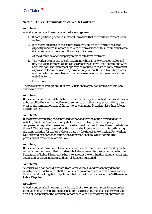# **Section Three: Termination of Work Contract**

# **Article 74**

A work contract shall terminate in the following cases:

- 1. If both parties agree to terminate it, provided that the worker's consent be in writing.
- 2. If the term specified in the contract expires, unless the contract has been explicitly renewed in accordance with the provisions of this Law in which case it shall remain in force until the expiry of its term.
- 3. At the discretion of either party in indefinite term contracts.
- 4. The worker attains the age of retirement, which is sixty years for males and fifty five years for females, unless the two parties agree upon continuing work after this age. The retirement age may be reduced in cases of early retirement as provided for in the work organization regulation. If it is a fixed-term work contract which extends beyond the retirement age, it shall terminate at the end of its term.
- 5. Force majeure.

The provisions of Paragraph (4) of this Article shall apply two years after this Law enters into force.

#### **Article 75**

If the contract is of an indefinite term, either party may terminate it for a valid reason to be specified in a written notice to be served to the other party at least thirty days prior to the termination date if the worker is paid monthly and not less than fifteen days for others.

#### **Article 76**

If the party terminating the contract does not observe the period provided for in Article (75) of this Law, such party shall be required to pay the other party compensation equal to the worker's wage for the duration of the notice or the balance thereof. The last wage received by the worker shall serve as the basis for estimating the compensation for workers who are paid by the time frame criterion. For workers who are paid by another criterion, the estimation shall take into account the provisions of Article (96) of this Law.

#### **Article 77**

If the contract is terminated for an invalid reason, the party who is harmed by such termination shall be entitled to indemnity to be assessed by the Commission for the Settlement of Labor Disputes, taking into account the termination circumstances and actual and potential material and moral damages sustained.

#### **Article 78**

A worker who has been dismissed from work without valid reason may demand reinstatement. Such claims shall be considered in accordance with the provisions of this Law and the Litigation Regulations before the Commissions for the Settlement of Labor Disputes.

#### **Article 79**

A work contract shall not expire by the death of the employer unless his person has been taken into consideration in concluding the contract, but shall expire with the death or incapacity of the worker in accordance with a medical report approved by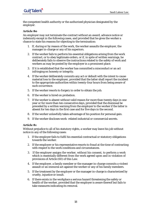the competent health authority or the authorized physician designated by the employer.

# **Article 80**

An employer may not terminate the contract without an award, advance notice or indemnity except in the following cases, and provided that he gives the worker a chance to state his reasons for objecting to the termination:

- 1. If, during or by reason of the work, the worker assaults the employer, the manager in-charge or any of his superiors.
- 2. If the worker fails to perform his essential obligations arising from the work contract, or to obey legitimate orders, or if, in spite of written warnings, he deliberately fails to observe the instructions related to the safety of work and workers as may be posted by the employer in a prominent place.
- 3. If it is established that the worker has committed a misconduct or an act infringing on honesty or integrity.
- 4. If the worker deliberately commits any act or default with the intent to cause material loss to the employer, provided that the latter shall report the incident to the appropriate authorities within twenty-four hours from being aware of such occurrence.
- 5. If the worker resorts to forgery in order to obtain the job.
- 6. If the worker is hired on probation.
- 7. If the worker is absent without valid reason for more than twenty days in one year or for more than ten consecutive days, provided that the dismissal be preceded by a written warning from the employer to the worker if the latter is absent for ten days in the first case and for five days in the second.
- 8. If the worker unlawfully takes advantage of his position for personal gain.
- 9. If the worker discloses work- related industrial or commercial secrets.

#### **Article 81**

Without prejudice to all of his statutory rights, a worker may leave his job without notice in any of the following cases:

- 1. If the employer fails to fulfil his essential contractual or statutory obligations towards the worker.
- 2. If the employer or his representative resorts to fraud at the time of contracting with respect to the work conditions and circumstances.
- 3. If the employer assigns the worker, without his consent, to perform a work which is essentially different from the work agreed upon and in violation of provisions of Article (60) of this Law.
- 4. If the employer, a family member or the manager in-charge commits a violent assault or an immoral act against the worker or any of his family members.
- 5. If the treatment by the employer or the manager in-charge is characterized by cruelty, injustice or insult.
- 6. If there exists in the workplace a serious hazard threatening the safety or health of the worker, provided that the employer is aware thereof but fails to take measures indicating its removal.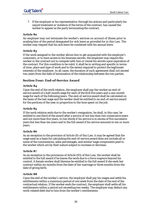7. If the employer or his representative, through his actions and particularly his unjust treatment or violation of the terms of the contract, has caused the worker to appear as the party terminating the contract.

#### **Article 82**

An employer may not terminate the worker's services on account of illness prior to availing him of the period designated for sick leave as provided for in this Law. The worker may request that his sick leave be combined with his annual leave.

#### **Article 83**

If the work assigned to the worker allows him to get acquainted with the employer's customers, or to have access to his business secrets, the employer may require the worker in the contract not to compete with him or reveal his secrets upon expiration of the contract. For this condition to be valid, it shall be in writing and specific in terms of time, place and type of work and to the extent required to protect the legitimate interests of the employer. In all cases, the duration of such agreement shall not exceed two years from the date of termination of the relationship between the two parties.

# **Section Four: End-of-Service Award**

#### **Article 84**

Upon the end of the work relation, the employer shall pay the worker an end-ofservice award of a half-month wage for each of the first five years and a one-month wage for each of the following years. The end-of-service award shall be calculated on the basis of the last wage and the worker shall be entitled to an end-of-service award for the portions of the year in proportion to the time spent on the job.

#### **Article 85**

If the work relation ends due to the worker's resignation, he shall, in this case, be entitled to one third of the award after a service of not less than two consecutive years and not more than five years, to two thirds if his service is in excess of five successive years but less than ten years and to the full award if his service amounts to ten or more years.

#### **Article 86**

As an exception to the provision of Article (8) of this Law, it may be agreed that the wage used as a basis for calculating the end-of-service award does not include all or some of the commissions, sales percentages, and similar wage components paid to the worker which are by their nature subject to increase or decrease.

#### **Article 87**

As an exception to the provisions of Article (85) of this Law, the worker shall be entitled to the full award if he leaves the work due to a force majeure beyond his control. A female worker shall likewise be entitled to the full award if she ends her contract within six months from the date of her marriage or three months from the date of giving birth.

#### **Article 88**

Upon the end of the worker's service, the employer shall pay his wages and settle his entitlements within a maximum period of one week from the date of the end of the contractual relation. If the worker ends the contract, the employer shall settle all his entitlements within a period not exceeding two weeks. The employer may deduct any work-related debt due to him from the worker's entitlements.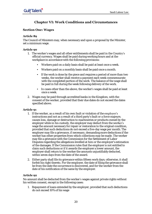# **Chapter VI: Work Conditions and Circumstances**

# **Section One: Wages**

# **Article 89**

The Council of Ministers may, when necessary and upon a proposal by the Minister, set a minimum wage.

#### **Article 90**

- 1. The worker's wages and all other entitlements shall be paid in the Country's official currency. Wages shall be paid during working hours and at the workplace in accordance with the following provisions:
	- Workers paid on a daily basis shall be paid at least once a week.
	- Workers paid on a monthly basis shall be paid once a month.
	- If the work is done by the piece and requires a period of more than two weeks, the worker shall receive a payment each week commensurate with the completed portion of the work. The balance of the wage shall be paid in full during the week following delivery of the work.
	- In cases other than the above, the worker's wages shall be paid at least once a week.
- 2. Wages may be paid through accredited banks in the Kingdom, with the consent of the worker, provided that their due dates do not exceed the dates specified above.

# **Article 91**

- 1. If the worker, as a result of his own fault or violation of the employer's instructions and not as a result of a third party's fault or a force majeure, causes loss, damage or destruction to machineries or products owned by the employer while in his custody, the employer may deduct from the worker's wage the amount necessary for repair or restoration to the original condition, provided that such deductions do not exceed a five-day wage per month. The employer may file a grievance, if necessary, demanding more deductions if the worker has other properties from which collections may be made. The worker may file a grievance with the Commission for the Settlement of Labor Disputes regarding the allegations levelled at him or the employer's estimation of the damages. If the Commission rules that the employer is not entitled to claim such deductions or if it awards the employer a lower amount, the employer shall return to the worker the amounts unjustifiably deducted, within seven days from the date of the award.
- 2. Either party shall file its grievance within fifteen work days; otherwise, it shall forfeit his right thereto. For the employer, the date of filing the grievance shall be from the date the occurrence is discovered, and for the worker from the date of his notification of the same by the employer.

# **Article 92**

No amount shall be deducted from the worker's wages against private rights without his written consent, except in the following cases:

1. Repayment of loans extended by the employer, provided that such deductions do not exceed 10% of his wage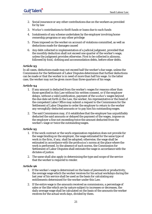- 2. Social insurance or any other contributions due on the workers as provided for by law
- 3. Worker's contributions to thrift funds or loans due to such funds
- 4. Instalments of any scheme undertaken by the employer involving home ownership programs or any other privilege
- 5. Fines imposed on the worker on account of violations committed, as well as deductions made for damages caused
- 6. Any debt collected in implementation of a judicial judgment, provided that the monthly deduction shall not exceed one quarter of the worker's wage, unless the judgment provides otherwise. First to be collected is alimony, followed by food, clothing and accommodation debts, before other debts.

In all cases, deductions made may not exceed half the worker's due wage, unless the Commission for the Settlement of Labor Disputes determines that further deductions can be made or that the worker is in need of more than half his wage. In the latter case, the worker may not be given more than three quarters of his wage.

#### **Article 94**

- 1. If any amount is deducted from the worker's wages for reasons other than those specified in this Law without his written consent, or if the employer delays, without a valid justification, payment of the worker's wages beyond the due date set forth in the Law, the worker, his representative or the head of the competent Labor Office may submit a request to the Commission for the Settlement of Labor Disputes to order the employer to return to the worker any wrongfully-deducted amounts or to pay him his outstanding wages.
- 2. The said Commission may, if it establishes that the employer has unjustifiably deducted the said amounts or delayed the payment of the wages, impose on the employer a fine not exceeding twice the amount deducted from the worker's wage or twice the outstanding wages.

# **Article 95**

- 1. If the work contract or the work organization regulation does not provide for the wage binding on the employer, the wage estimated for the same type of work in the firm, if any, shall be adopted; otherwise, the wage shall be estimated in accordance with the profession's norms at the place where the work is performed. In the absence of such norms, the Commission for Settlement of Labor Disputes shall estimate the wage in accordance with the dictates of justice.
- 2. The same shall also apply in determining the type and scope of the service that the worker is required to render.

# **Article 96**

- 1. If the worker's wage is determined on the basis of piecework or productivity, the average wage which the worker receives for his actual workdays during the last year of his service shall be used as the basis for calculating any entitlements determined for the worker under this Law.
- 2. If the entire wage is the amounts received as commissions, a percentage of sales or the like which are by nature subject to increases or decreases, the daily average wage shall be calculated on the basis of the amounts the worker receives for the actual work days, divided by them.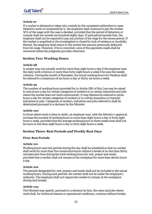If a worker is detained or taken into custody by the competent authorities in cases related to work or occasioned by it, the employer shall continue to pay the worker 50% of the wage until the case is decided, provided that the period of detention or custody shall not exceed one hundred eighty days. If said period exceeds that, the employer shall not be required to pay any portion of the wage for the excess period. If the worker is acquitted or the investigation is closed for lack of evidence or invalidity thereof, the employer shall return to the worker the amount previously deducted from his wage. However, if he is convicted, none of the payments made shall be recovered unless the judgment provides otherwise.

# **Section Two: Working Hours**

# **Article 98**

A worker may not actually work for more than eight hours a day if the employer uses the daily work criterion or more than forty-eight hours a week if he uses the weekly criterion. During the month of Ramadan, the actual working hours for Muslims shall be reduced to a maximum of six hours a day or thirty-six hours a week.

# **Article 99**

The number of working hours provided for in Article (98) of this Law may be raised to nine hours a day for certain categories of workers or in certain industries and jobs where the worker does not work continuously.It may likewise be reduced to seven hours a day for certain categories of workers or in certain hazardous or harmful industries or jobs. Categories of workers, industries and jobs referred to shall be determined pursuant to a decision by the Minister.

# **Article 100**

In firms where work is done in shifts, an employer may, with the Ministry's approval, increase the number of working hours to more than eight hours a day or forty eight hours a week, provided that the average working hours in three weeks time shall not be more or less than eight hours a day or forty eight hours a week.

# **Section Three: Rest Periods and Weekly Rest Days**

# **First: Rest Periods**

# **Article 101**

Working hours and rest periods during the day shall be scheduled so that no worker shall work for more than five consecutive hours without a break of no less than thirty minutes each time during the total working hours for rest, prayer and meals, provided that a worker shall not remain at the workplace for more than eleven hours a day.

# **Article 102**

The periods designated for rest, prayers and meals shall not be included in the actual working hours. During such periods, the worker shall not be under the employer's authority. The employer shall not require the worker to remain at the workplace during such breaks.

# **Article 103**

The Minister may specify, pursuant to a decision by him, the cases and jobs where work shall, for technical reasons or operational conditions, continue without breaks.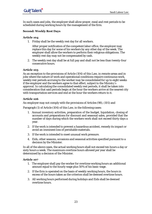In such cases and jobs, the employer shall allow prayer, meal and rest periods to be scheduled during working hours by the management of the firm.

#### **Second: Weekly Rest Days**

#### **Article 104**

1. Friday shall be the weekly rest day for all workers.

After proper notification of the competent labor office, the employer may replace this day for some of his workers by any other day of the week. The employer shall allow the workers to perform their religious obligations. The weekly rest day may not be compensated by cash.

2. The weekly rest day shall be at full pay and shall not be less than twenty-four consecutive hours.

#### **Article 105**

As an exception to the provisions of Article (104) of this Law, in remote areas and in jobs where the nature of work and operational conditions require continuous work, weekly rest periods accruing to the worker may be consolidated for up to eight weeks if the employer and the workers agree to that effect, subject to the Ministry's approval. In calculating the consolidated weekly rest periods, it shall be taken into consideration that said periods begin at the hour the workers arrive at the nearest city with transportation services and end at the hour the workers return to it.

#### **Article 106**

An employer may not comply with the provisions of Articles (98), (101) and

Paragraph (1) of Article (104) of this Law, in the following cases:

- 1. Annual inventory activities, preparation of the budget, liquidation, closing of accounts and preparations for discount and seasonal sales, provided that the number of days during which the workers work shall not exceed thirty days a year.
- 2. If the work is intended to prevent a hazardous accident, remedy its impact or avoid an imminent loss of perishable materials.
- 3. If the work is intended to meet unusual work pressure.
- 4. Eids, other seasons, occasions and seasonal activities specified pursuant to a decision by the Minister.

In all of the above cases, the actual working hours shall not exceed ten hours a day or sixty hours a week. The maximum overtime hours allowed per year shall be determined by a decision of the Minister.

#### **Article 107**

- 1. The employer shall pay the worker for overtime working hours an additional amount equal to the hourly wage plus 50% of his basic wage.
- 2. If the firm is operated on the basis of weekly working hours, the hours in excess of the hours taken as the criterion shall be deemed overtime hours.
- 3. All working hours performed during holidays and Eids shall be deemed overtime hours.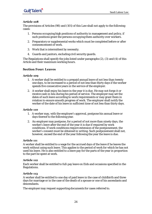The provisions of Articles (98) and (101) of this Law shall not apply to the following cases:

- 1. Persons occupying high positions of authority in management and policy, if such positions grant the persons occupying them authority over workers.
- 2. Preparatory or supplemental works which must be completed before or after commencement of work.
- 3. Work that is intermittent by necessity.
- 4. Guards and janitors, excluding civil security guards.

The Regulations shall specify the jobs listed under paragraphs (2), (3) and (4) of this Article and their maximum working hours.

# **Section Four: Leaves**

#### **Article 109**

- 1. A worker shall be entitled to a prepaid annual leave of not less than twenty one days, to be increased to a period of not less than thirty days if the worker spends five consecutive years in the service of the employer.
- 2. A worker shall enjoy his leave in the year it is due. He may not forgo it or receive cash in lieu during his period of service. The employer may set the dates of such leave according to work requirements or may grant them in rotation to ensure smooth progress of work. The employer shall notify the worker of the date of his leave in sufficient time of not less than thirty days.

#### **Article 110**

- 1. A worker may, with the employer's approval, postpone his annual leave or days thereof to the following year.
- 2. An employer may postpone, for a period of not more than ninety days, the worker's leave after the end of the year it is due if required by work conditions. If work conditions require extension of the postponement, the worker's consent must be obtained in writing. Such postponement shall not, however, exceed the end of the year following the year the leave is due.

#### **Article 111**

A worker shall be entitled to a wage for the accrued days of the leave if he leaves the work without using such leave. This applies to the period of work for which he has not used his leave. He is also entitled to a leave pay for the parts of the year in proportion to the part he spent at work.

#### **Article 112**

Each worker shall be entitled to full-pay leave on Eids and occasions specified in the Regulations.

#### **Article 113**

A worker shall be entitled to one day of paid leave in the case of childbirth and three days for marriage or in the case of the death of a spouse or one of his ascendants and descendants.

The employer may request supporting documents for cases referred to.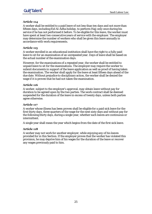A worker shall be entitled to a paid leave of not less than ten days and not more than fifteen days, including Eid Al-Adha holiday, to perform Hajj only once during his service if he has not performed it before. To be eligible for this leave, the worker must have spent at least two consecutive years of service with the employer. The employer may determine the number of workers who shall be given this leave annually in accordance with work requirements.

# **Article 115**

A worker enrolled in an educational institution shall have the right to a fully paid leave to sit for an examination of an unrepeated year. Days of leave shall be based on the actual number of the examination days.

However, for the examinations of a repeated year, the worker shall be entitled to unpaid leave to sit for the examinations. The employer may require the worker to submit documents in support of the leave application as well as proof of having taken the examination. The worker shall apply for the leave at least fifteen days ahead of the due date. Without prejudice to disciplinary action, the worker shall be denied the wage if it is proven that he had not taken the examination.

# **Article 116**

A worker, subject to the employer's approval, may obtain leave without pay for duration to be agreed upon by the two parties. The work contract shall be deemed suspended for the duration of the leave in excess of twenty days, unless both parties agree otherwise.

# **Article 117**

A worker whose illness has been proven shall be eligible for a paid sick leave for the first thirty days, three quarters of the wage for the next sixty days and without pay for the following thirty days, during a single year, whether such leaves are continuous or intermittent.

A single year shall mean the year which begins from the date of the first sick leave.

# **Article 118**

A worker may not work for another employer, while enjoying any of his leaves provided for in this Section. If the employer proves that the worker has violated this provision, he may deprive him of his wages for the duration of the leave or recover any wages previously paid to him.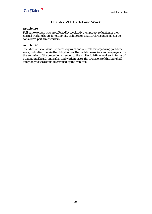# **Chapter VII: Part-Time Work**

# **Article 119**

Full-time workers who are affected by a collective temporary reduction in their normal working hours for economic, technical or structural reasons shall not be considered part-time workers.

# **Article 120**

The Minister shall issue the necessary rules and controls for organizing part-time work, indicating therein the obligations of the part-time workers and employers. To the exclusion of the protection extended to the similar full-time workers in terms of occupational health and safety and work injuries, the provisions of this Law shall apply only to the extent determined by the Minister.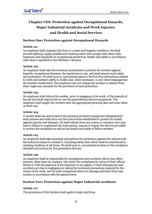# **Chapter VIII: Protection against Occupational Hazards, Major Industrial Accidents and Work Injuries, and Health and Social Services**

# **Section One: Protection against Occupational Hazards**

# **Article 121**

An employer shall maintain the firm in a clean and hygienic condition. He shall provide lighting, supply potable and washing water and comply with other rules, measures and standards of occupational protection, health and safety in accordance with what is specified in the Minister's decision.

# **Article 122**

An employer shall take the necessary precautions to protect the workers against hazards, occupational diseases, the machinery in use, and shall ensure work safety and protection. He shall post in a prominent place in the firm the instructions related to work and workers safety in Arabic and, when necessary, in any other language that the workers understand. The employer may not charge the workers or deduct from their wages any amounts for the provision of such protection.

# **Article 123**

An employer shall inform the worker, prior to engaging in the work, of the hazards of his job and shall require him to use the prescribed protective equipment. The employer shall supply the workers with the appropriate personal gear and train them on their use.

# **Article 124**

A worker shall use and preserve the personal protective equipment designated for each process and shall carry out the instructions established to protect his health against injuries and diseases. He shall refrain from any action or omission that may lead to failure to implement the instructions, misuse or impair the devices provided to protect the workplace as well as the health and safety of fellow workers.

# **Article 125**

An employer shall take necessary precautions for protection against fire and provide the technical means to combat it, including safety exits which shall be maintained in working condition at all times. He shall post in a prominent location in the workplace detailed instructions for fire prevention devices.

# **Article 126**

An employer shall be responsible for emergencies and accidents which may affect persons, other than his workers, who enter the workplaces by virtue of their official duties or with the approval of the employer or his agents, if such emergencies and accidents are due to negligence in taking the technical precautions required by the nature of his work, and he shall compensate them for damage and harm they may sustain in accordance with the general laws.

# **Section Two: Protection against Major Industrial Accidents**

# **Article 127**

The provisions of this Section shall apply to high risk firms.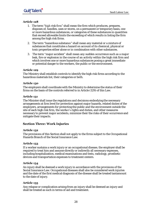- 1. The term "high risk firm" shall mean the firm which produces, prepares, disposes of, handles, uses or stores, on a permanent or temporary basis, one or more hazardous substances, or categories of these substances in quantities that exceed allowable limits the exceeding of which results in listing the firm among the high risk firms.
- 2. The term "hazardous substance" shall mean any material or a mixture of substances that constitutes a hazard on account of its chemical, physical or toxic properties either alone or in combination with other substances.
- 3. The term "major accident" shall mean any sudden occurrence such as a major leak, fire or explosion in the course of an activity within the high risk firm and which involves one or more hazardous substances posing a great immediate or potential danger to the workers, the public or the environment.

#### **Article 129**

The Ministry shall establish controls to identify the high risk firms according to the hazardous materials list, their categories or both.

#### **Article 130**

The employers shall coordinate with the Ministry to determine the status of their firms on the basis of the controls referred to in Article (129) of this Law.

#### **Article 131**

The Minister shall issue the regulations and decisions embodying the necessary arrangements at firm level for protection against major hazards, related duties of the employers, arrangements for protecting the public and the environment outside the site of each high risk firm, the worker's rights and duties, and other measures necessary to prevent major accidents, minimize their the risks of their occurrence and mitigate their impacts.

# **Section Three: Work Injuries**

#### **Article 132**

The provisions of this Section shall not apply to the firms subject to the Occupational Hazards Branch of the Social Insurance Law.

#### **Article 133**

If a worker sustains a work injury or an occupational disease, the employer shall be required to treat him and assume directly or indirectly all necessary expenses, including hospitalization, medical examinations and tests, radiology, prosthetic devices and transportation expenses to treatment centers.

#### **Article 134**

An injury shall be deemed a work injury in accordance with the provisions of the Social Insurance Law. Occupational diseases shall also be considered work injuries and the date of the first medical diagnosis of the disease shall be treated tantamount to the date of injury.

# **Article 135**

Any relapse or complication arising from an injury shall be deemed an injury and shall be treated as such in terms of aid and treatment.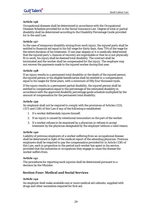Occupational diseases shall be determined in accordance with the Occupational Diseases Schedule provided for in the Social Insurance Law. Degree of total or partial disability shall be determined according to the Disability Percentage Guide provided for in the said Law.

#### **Article 137**

In the case of temporary disability arising from work injury, the injured party shall be entitled to financial aid equal to his full wage for thirty days, then 75% of the wage for the entire duration of his treatment. If one year elapses or it is medically determined that the injured party's chances of recovery are improbable or that he is not physically fit to work, his injury shall be deemed total disability. The contract shall be terminated and the worker shall be compensated for the injury. The employer may not recover the payments made to the injured worker during that year.

# **Article 138**

If an injury results in a permanent total disability or the death of the injured person, the injured person or his eligible beneficiaries shall be entitled to a compensation equal to his wages for three years, with a minimum of fifty four thousand riyals.

If the injury results in a permanent partial disability, the injured person shall be entitled to compensation equal to the percentage of the estimated disability in accordance with the approved disability percentage guide schedule multiplied by the amount of compensation for the permanent total disability.

# **Article 139**

An employer shall not be required to comply with the provisions of Articles (133), (137) and (138) of this Law if any of the following is established:

- 1. If a worker deliberately injures himself.
- 2. If an injury is caused by intentional misconduct on the part of the worker.
- 3. If a worker refuses to be examined by a physician or refuses to accept treatment by the physician designated by the employer without a valid reason.

#### **Article 140**

Liability of previous employers of a worker suffering from an occupational disease shall be determined in light of the medical report of the attending physician. Previous employers shall be required to pay the compensation provided for in Article (138) of this Law, each in proportion to the period such worker has spent in his service, provided that the industries or occupations they engage in cause the disease the worker suffers from.

# **Article 141**

The procedures for reporting work injuries shall be determined pursuant to a decision by the Minister.

# **Section Four: Medical and Social Services**

#### **Article 142**

An employer shall make available one or more medical aid cabinets, supplied with drugs and other necessities required for first aid.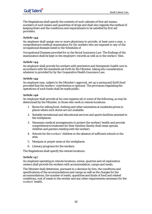The Regulations shall specify the contents of such cabinets of first aid means, numbers of such means and quantities of drugs and shall also regulate the method of keeping them and the conditions and requirements to be satisfied by first aid providers.

# **Article 143**

An employer shall assign one or more physicians to provide, at least once a year, a comprehensive medical examination for his workers who are exposed to any of the occupational diseases listed in the Schedules of

Occupational Diseases provided for in the Social Insurance Law. The findings of the examination shall be kept in the employer's records as well as in the workers' files.

# **Article 144**

An employer shall provide his workers with preventive and therapeutic health care in accordance with the standards set forth by the Minister, taking into consideration whatever is provided for by the Cooperative Health Insurance Law.

# **Article 145**

An employer may, subject to the Minister's approval, set up a saving and thrift fund provided that the workers' contribution is optional. The provisions regulating the operations of such funds shall be made public.

# **Article 146**

An employer shall provide at his own expense all or some of the following, as may be determined by the Minister, to those who work in remote locations:

- 1. Stores for selling food, clothing and other necessities at moderate prices in places where such stores are not available.
- 2. Suitable recreational and educational services and sports facilities annexed to the workplaces.
- 3. Necessary medical arrangements to protect the workers' health and provide comprehensive treatment for their families (family shall mean spouse, children and parents residing with the worker).
- 4. Schools for the workers' children in the absence of sufficient schools in the area.
- 5. Mosques or prayer areas at the workplaces.
- 6. Literacy programs for the workers.

The Regulations shall specify the remote locations.

# **Article 147**

An employer operating in remote locations, mines, quarries and oil exploration centers shall provide his workers with accommodation, camps and meals.

The Minister shall determine, pursuant to a decision by him, the conditions and specifications of the accommodations and camps as well as the charges for the accommodations, the number of meals, quantities and kinds of food and related conditions, cost of meals to the worker and any other requirements necessary for the workers' health.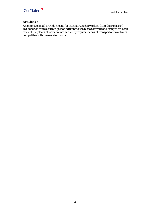An employer shall provide means for transporting his workers from their place of residence or from a certain gathering point to the places of work and bring them back daily, if the places of work are not served by regular means of transportation at times compatible with the working hours.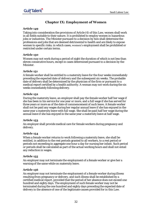# **Chapter IX: Employment of Women**

#### **Article 149**

Taking into consideration the provisions of Article (4) of this Law, women shall work in all fields suitable to their nature. It is prohibited to employ women in hazardous jobs or industries. The Minister pursuant to a decision by him shall determine the professions and jobs that are deemed detrimental to health and are likely to expose women to specific risks; in which cases, women's employment shall be prohibited or restricted under certain terms.

#### **Article 150**

Women may not work during a period of night the duration of which is not less than eleven consecutive hours, except in cases determined pursuant to a decision by the Minister.

# **Article 151**

A female worker shall be entitled to a maternity leave for the four weeks immediately preceding the expected date of delivery and the subsequent six weeks. The probable date of delivery shall be determined by the physician of the firm or pursuant to a medical report certified by a health authority. A woman may not work during the six weeks immediately following delivery.

#### **Article 152**

During the maternity leave, an employer shall pay the female worker half her wage if she has been in his service for one year or more, and a full wage if she has served for three years or more as of the date of commencement of such leave. A female worker shall not be paid any wages during her regular annual leave if she has enjoyed in the same year a maternity leave with full wage. She shall be paid half her wage during the annual leave if she has enjoyed in the same year a maternity leave at half wage.

# **Article 153**

An employer shall provide medical care for female workers during pregnancy and delivery.

# **Article 154**

When a female worker returns to work following a maternity leave, she shall be entitled, in addition to the rest periods granted to all workers, to a rest period or periods not exceeding in aggregate one hour a day for nursing her infant. Such period or periods shall be calculated as part of the actual working hours and shall not entail any reduction in wages.

# **Article 155**

An employer may not terminate the employment of a female worker or give her a warning of the same while on maternity leave.

#### **Article 156**

An employer may not terminate the employment of a female worker during illness resulting from pregnancy or delivery, and such illness shall be established by a certified medical report, provided that the period of her absence does not exceed one hundred and eighty days. The employment of such female worker may not be terminated during the one hundred and eighty days preceding the expected date of delivery in the absence of one of the legitimate causes provided for in this Law.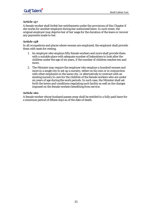A female worker shall forfeit her entitlements under the provisions of this Chapter if she works for another employer during her authorized leave. In such event, the original employer may deprive her of her wage for the duration of the leave or recover any payments made to her.

# **Article 158**

In all occupations and places where women are employed, the employer shall provide them with seats for resting.

- 1. An employer who employs fifty female workers and more shall provide them with a suitable place with adequate number of babysitters to look after the children under the age of six years, if the number of children reaches ten and more.
- 2. The Minister may require the employer who employs a hundred women and more in a single city to set up a nursery, either on his own or in conjunction with other employers in the same city, or alternatively to contract with an existing nursery to care for the children of the female workers who are under six years of age during the work periods. In such case, the Minister shall set forth the terms and conditions regulating such facility as well as the charges imposed on the female workers benefiting from service.

# **Article 160**

A female worker whose husband passes away shall be entitled to a fully paid leave for a minimum period of fifteen days as of the date of death.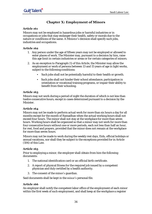# **Chapter X: Employment of Minors**

#### **Article 161**

Minors may not be employed in hazardous jobs or harmful industries or in occupations or jobs that may endanger their health, safety or morals due to the nature or conditions of the same. A Minister's decision shall specify such jobs, industries and occupations.

#### **Article 162**

- 1. Any person under the age of fifteen years may not be employed or allowed to enter places of work. The Minister may, pursuant to a decision by him, raise this age limit in certain industries or areas or for certain categories of minors.
- 2. As an exception to Paragraph (1) of this Article, the Minister may allow the employment or work of persons between 13 and 15 years of age in light works, subject to the following conditions:
	- Such jobs shall not be potentially harmful to their health or growth.
	- Such jobs shall not hinder their school attendance, participation in orientation or vocational training programs, or impair their ability to benefit from their schooling.

#### **Article 163**

Minors may not work during a period of night the duration of which is not less than twelve consecutive hours, except in cases determined pursuant to a decision by the Minister.

#### **Article 164**

Minors may not be made to perform actual work for more than six hours a day for all months except for the month of Ramadhan when the actual working hours shall not exceed four hours. The minor shall not stay at the workplace for more than seven hours. Working hours shall be organized so that a minor may not work for more than four consecutive hours without one or more periods, each not less than half an hour, for rest, food and prayers, provided that the minor does not remain at the workplace for more than seven hours.

Minors may not be made to work during the weekly rest days, Eids, official holidays or annual vacations, nor shall they be subject to the exceptions provided for in Article (106) of this Law.

# **Article 165**

Prior to employing a minor, the employer shall obtain from him the following documents:

- 1. The national identification card or an official birth certificate.
- 2. A report of physical fitness for the required job issued by a competent physician and duly certified by a health authority.
- 3. The consent of the minor's guardian.

Said documents shall be kept in the minor's personal file.

#### **Article 166**

An employer shall notify the competent labor office of the employment of each minor within the first week of such employment, and shall keep at the workplace a register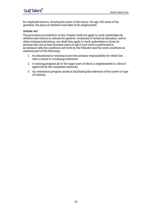for employed minors, showing the name of the minor, his age, full name of his guardian, his place of residence and date of his employment.

# **Article 167**

The provisions provided for in this Chapter shall not apply to work undertaken by children and minors in schools for general, vocational or technical education, and in other training institutions, nor shall they apply to work undertaken in firms by persons who are at least fourteen years of age if such work is performed in accordance with the conditions set forth by the Minister and the work constitute an essential part of the following:

- 1. An educational or training course the primary responsibility for which lies with a school or a training institution
- 2. A training program all or the major part of which is implemented in a firm if approved by the competent authority
- 3. An orientation program aimed at facilitating the selection of the career or type of training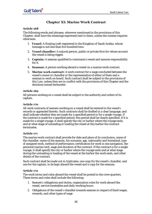# **Chapter XI: Marine Work Contract**

#### **Article 168**

The following words and phrases, wherever mentioned in the provisions of this Chapter, shall have the meanings expressed next to them, unless the context requires otherwise:

- 1. **Vessel:** A floating craft registered in the Kingdom of Saudi Arabia, whose tonnage is not less than five hundred tons.
- 2. **Vessel chandler:** A natural person, public or private firm for whose account the vessel is being rigged.
- 3. **Captain:** A seaman qualified to command a vessel and assume responsibility for it.
- 4. **Seaman:** A person working aboard a vessel on a marine work contract.
- 5. **Marine work contract:** A work contract for a wage concluded between the vessel's owner or chandler or the representative of either of them and a seaman to work on board. Such contract shall be subject to the provisions of this Law, unless they are in conflict with the provisions of this Chapter and the decisions issued hereunder.

#### **Article 169**

All persons working on a vessel shall be subject to the authority and orders of its captain.

#### **Article 170**

All work contracts of seamen working on a vessel shall be entered in the vessel's records or appended thereto. Such contracts shall be drafted in a clear language, and shall indicate whether they are made for a specified period or for a single voyage. If the contract is made for a specified period, this period shall be clearly specified. If it is made for a single voyage, it shall specify the city or harbor where the voyage ends, and at what stage of unloading or loading the vessel at this harbor the contract terminates.

# **Article 171**

The marine work contract shall provide for date and place of its conclusion, name of the chandler, name of the seaman, his surname, age, nationality and homeland, type of assigned work, method of performance, certification for work in sea navigation, the personal marine card, wage and duration of the contract. If the contract is for a single voyage, it shall specify the city or harbor where the voyage ends and at what stage during the unloading or loading of the vessel at the harbor the work ends, and other details of the contract.

Such contract shall be made out in triplicates, one copy for the vessel's chandler, and one for the captain, to be kept aboard the vessel and a copy for the seaman.

#### **Article 172**

The work terms and rules aboard the vessel shall be posted in the crew quarters. These terms and rules shall include the following:

- 1. Seamen's obligations and duties, organization rules for work aboard the vessel, service timetables and daily working hours
- 2. Obligations of the vessel's chandler towards seamen in respect of fixed wages, rewards, and other types of wage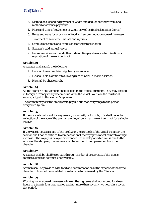# **GulfTalent**

- 3. Method of suspending payment of wages and deductions there from and method of advance payments
- 4. Place and time of settlement of wages as well as final calculation thereof
- 5. Rules and ways for provision of food and accommodation aboard the vessel
- 6. Treatment of seamen's illnesses and injuries
- 7. Conduct of seamen and conditions for their repatriation
- 8. Seamen's paid annual leaves
- 9. End-of-service award and other indemnities payable upon termination or expiration of the work contract

#### **Article 173**

A seaman shall satisfy the following:

- 1. He shall have completed eighteen years of age.
- 2. He shall hold a certificate allowing him to work in marine service.
- 3. He shall be physically fit.

#### **Article 174**

All the seaman's entitlements shall be paid in the official currency. They may be paid in foreign currency if they become due while the vessel is outside the territorial waters, subject to the seaman's approval.

The seaman may ask the employer to pay his due monetary wage to the person designated by him.

#### **Article 175**

If the voyage is cut short for any reason, voluntarily or forcibly, this shall not entail reduction of the wage of the seaman employed on a marine work contract for a single voyage.

#### **Article 176**

If the wage is set as a share of the profits or the proceeds of the vessel's charter, the seaman shall not be entitled to compensation if the voyage is cancelled nor to a wage increase if the voyage is delayed or extended. If the delay or extension is due to the action of the shippers, the seaman shall be entitled to compensation from the chandler.

#### **Article 177**

A seaman shall be eligible for pay, through the day of occurrence, if the ship is captured, sinks or becomes unseaworthy.

#### **Article 178**

Seamen shall be provided with food and accommodation at the expense of the vessel chandler. This shall be regulated by a decision to be issued by the Minister.

#### **Article 179**

Working hours aboard the vessel while on the high seas shall not exceed fourteen hours in a twenty four hour period and not more than seventy two hours in a sevenday period.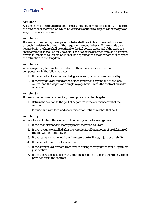A seaman who contributes to aiding or rescuing another vessel is eligible to a share of the reward that the vessel on which he worked is entitled to, regardless of the type of wage of the work performed.

# **Article 181**

If a seaman dies during the voyage, his heirs shall be eligible to receive his wages through the date of his death, if the wage is on a monthly basis. If the wage is on a voyage basis, the heirs shall be entitled to the full voyage wage, and if the wage is a share of profits, it shall be fully payable. The dues of the deceased or missing seaman, or who is unable to collect his wage shall be deposited with the labor office at the port of destination in the Kingdom.

# **Article 182**

An employer may terminate the contract without prior notice and without compensation in the following cases:

- 1. If the vessel sinks, is confiscated, goes missing or becomes unseaworthy.
- 2. If the voyage is cancelled at the outset, for reasons beyond the chandler's control and the wage is on a single voyage basis, unless the contract provides otherwise.

# **Article 183**

If the contract expires or is revoked, the employer shall be obligated to:

- 1. Return the seaman to the port of departure at the commencement of the contract
- 2. Provide him with food and accommodation until he reaches that port

# **Article 184**

A chandler shall return the seaman to his country in the following cases:

- 1. If the chandler cancels the voyage after the vessel sails off
- 2. If the voyage is cancelled after the vessel sails off on account of prohibition of trading with the destination
- 3. If the seaman is removed from the vessel due to illness, injury or disability
- 4. If the vessel is sold in a foreign country
- 5. If the seaman is dismissed from service during the voyage without a legitimate justification
- 6. If the contract concluded with the seaman expires at a port other than the one provided for in the contract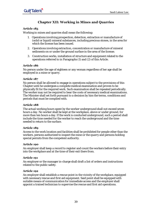# **Chapter XII: Working in Mines and Quarries**

# **Article 185**

Working in mines and quarries shall mean the following:

- 1. Operations involving prospection, detection, extraction or manufacture of (solid or liquid) mineral substances, including precious stones, in the area for which the license has been issued.
- 2. Operations involving extraction, concentration or manufacture of mineral sediments on or under the ground surface in the area of the license.
- 3. Construction works, installation of structure and equipment related to the operations referred to in Paragraphs (1) and (2) of this Article.

#### **Article 186**

No person under the age of eighteen or any woman regardless of her age shall be employed in a mine or quarry.

#### **Article 187**

No person shall be allowed to engage in operations subject to the provisions of this Chapter until he undergoes a complete medical examination and proven to be physically fit for the required work. Such examination shall be repeated periodically. The worker may not be required to bear the costs of necessary medical examinations. The Minister shall set forth pursuant to a decision by him the terms, conditions and periods that must be complied with.

#### **Article 188**

The actual working hours spent by the worker underground shall not exceed seven hours a day. No worker shall be kept at the workplace, above or under ground, for more than ten hours a day. If the work is conducted underground, such a period shall include the time needed for the worker to reach the underground and the time needed to return to the surface.

#### **Article 189**

Access to the work location and facilities shall be prohibited for people other than the workers, persons authorized to inspect the mine or the quarry and persons holding special permits from the competent authority.

#### **Article 190**

An employer shall keep a record to register and count the workers before their entry into the workplace and at the time of their exit there from.

#### **Article 191**

An employer or the manager in-charge shall draft a list of orders and instructions related to the public safety.

#### **Article 192**

An employer shall establish a rescue point in the vicinity of the workplace, equipped with necessary rescue and first aid equipment. Said point shall be equipped with suitable means of communication for immediate access and the employer shall appoint a trained technician to supervise the rescue and first aid operations.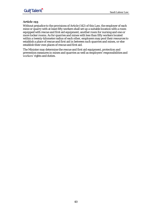Without prejudice to the provisions of Article (142) of this Law, the employer of each mine or quarry with at least fifty workers shall set up a suitable location with a room equipped with rescue and first aid equipment, another room for nursing and one or more locker rooms. As for quarries and mines with less than fifty workers located within a twenty-kilometer radius of each other, employers may pool their resources to establish a place of rescue and first aid in between such quarries and mines, or else establish their own places of rescue and first aid.

The Minister may determine the rescue and first aid equipment, protection and prevention measures in mines and quarries as well as employers' responsibilities and workers' rights and duties.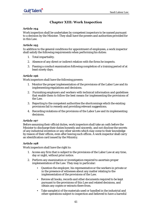# **Chapter XIII: Work Inspection**

# **Article 194**

Work inspection shall be undertaken by competent inspectors to be named pursuant to a decision by the Minister. They shall have the powers and authorities provided for in this Law.

# **Article 195**

In addition to the general conditions for appointment of employees, a work inspector shall satisfy the following requirements when performing his duties:

- 1. Total impartiality.
- 2. Absence of any direct or indirect relation with the firms he inspects.
- 3. Passing a conduct examination following completion of a training period of at least ninety days.

#### **Article 196**

Work inspectors shall have the following powers:

- 1. Monitor the proper implementation of the provisions of the Labor Law and its implementing regulations and decisions.
- 2. Furnishing employers and workers with technical information and guidelines that enable them to follow the best means for implementing the provisions of the Law.
- 3. Reporting to the competent authorities the shortcomings which the existing provisions fail to remedy and providing relevant suggestions.
- 4. Recording violations of the provisions of the Labor Law and its implementing decisions.

# **Article 197**

Before assuming their official duties, work inspectors shall take an oath before the Minister to discharge their duties honestly and sincerely, and not disclose the secrets of any industrial invention or any other secrets which may come to their knowledge by reason of their offices, even after leaving such offices. A work inspector shall carry an identification card issued by the Ministry.

# **Article 198**

Work inspectors shall have the right to:

- 1. Access any firm that is subject to the provisions of the Labor Law at any time, day or night, without prior notice.
- 2. Perform any examination or investigation required to ascertain proper implementation of the Law. They may in particular:
	- Question the employer, his representative or the workers in private or in the presence of witnesses about any matter relating to the implementation of the provisions of the Law.
	- Review all books, records and other documents required to be kept pursuant to the provisions of this Law and related decisions, and obtain any copies or extracts there from.
	- Take sample(s) of the materials used or handled in the industrial and other operations subject to inspection and believed to have a harmful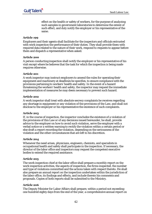effect on the health or safety of workers, for the purpose of analyzing such samples in government laboratories to determine the extent of such effect, and duly notify the employer or his representative of the same.

#### **Article 199**

Employers and their agents shall facilitate for the inspectors and officials entrusted with work inspection the performance of their duties. They shall provide them with required data related to the nature of their work, respond to requests to appear before them and dispatch a representative when asked.

#### **Article 200**

A person conducting inspection shall notify the employer or his representative of his visit except where he believes that the task for which the inspection is being made requires otherwise.

#### **Article 201**

A work inspector may instruct employers to amend the rules for operating their equipment and machinery at deadlines he specifies, to ensure compliance with the provisions pertaining to workers' health and safety. In the event of a hazard threatening the workers' health and safety, the inspector may request the immediate implementation of measures he may deem necessary to prevent such hazard.

#### **Article 202**

A work inspector shall treat with absolute secrecy complaints he receives regarding any shortage in equipment or any violation of the provisions of the Law, and shall not disclose to the employer or his representative the existence of such complaints.

# **Article 203**

If, in the course of inspection, the inspector concludes the existence of a violation of the provisions of this Law or of any decisions issued hereunder, he shall, provide advice to the employer on how to avoid such violation, serve the employer with a verbal notice or a written warning to rectify the violation within a certain period or else draft a report recording the violation, depending on the seriousness of the violation and the other circumstances that are left to his discretion.

#### **Article 204**

Whenever the need arises, physicians, engineers, chemists, and specialists in occupational health and safety shall participate in the inspection. If necessary, the director of the labor office and inspectors may request the competent executive bodies to extend the required assistance.

# **Article 205**

The work inspection chief at the labor office shall prepare a monthly report on the work inspection activities, the aspects of inspection, the firms inspected, the number and type of violations committed and the actions taken with respect thereto. He shall also prepare an annual report on the inspection undertaken within the jurisdiction of the labor office, its findings and effects, and include therein his comments and proposals. Copies of both reports shall be submitted to the Ministry.

#### **Article 206**

The Deputy Minister for Labor Affairs shall prepare, within a period not exceeding one hundred eighty days from the end of the year, a comprehensive annual report on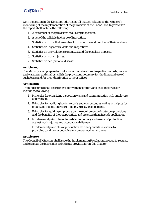work inspection in the Kingdom, addressing all matters relating to the Ministry's monitoring of the implementation of the provisions of the Labor Law. In particular, the report shall include the following:

- 1. A statement of the provisions regulating inspection.
- 2. A list of the officials in charge of inspection.
- 3. Statistics on firms that are subject to inspection and number of their workers.
- 4. Statistics on inspectors' visits and inspections.
- 5. Statistics on the violations committed and the penalties imposed.
- 6. Statistics on work injuries.
- 7. Statistics on occupational diseases.

#### **Article 207**

The Ministry shall prepare forms for recording violations, inspection records, notices and warnings, and shall establish the provisions necessary for the filing and use of such forms and for their distribution to labor offices.

#### **Article 208**

Training courses shall be organized for work inspectors, and shall in particular include the following:

- 1. Principles for organizing inspection visits and communication with employers and workers.
- 2. Principles for auditing books, records and computers, as well as principles for organizing inspection reports and interrogation of persons.
- 3. Principles for guiding employers on the requirements of statutory provisions and the benefits of their application, and assisting them in such application.
- 4. Fundamental principles of industrial technology and means of protection against work injuries and occupational diseases.
- 5. Fundamental principles of production efficiency and its relevance to providing conditions conducive to a proper work environment.

# **Article 209**

The Council of Ministers shall issue the Implementing Regulations needed to regulate and organize the inspection activities as provided for in this Chapter.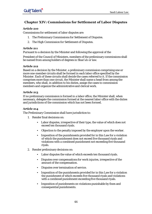# **Chapter XIV: Commissions for Settlement of Labor Disputes**

# **Article 210**

Commissions for settlement of labor disputes are:

- 1. The Preliminary Commissions for Settlement of Disputes.
- 2. The High Commission for Settlement of Disputes.

# **Article 211**

Pursuant to a decision by the Minister and following the approval of the

President of the Council of Ministers, members of the preliminary commissions shall be named from among holders of degrees in Shari'ah or law.

# **Article 212**

Based on a decision by the Minister, a preliminary commission comprising one or more one-member circuits shall be formed in each labor office specified by the Minister. Each of these circuits shall decide the cases referred to it. If the commission comprises more than one circuit, the Minister shall name a head from among the members, who shall, in addition to his duties, assign the cases to commission members and organize the administrative and clerical work.

# **Article 213**

If no preliminary commission is formed in a labor office, the Minister shall, when necessary, delegate the commission formed at the nearest labor office with the duties and jurisdictions of the commission which has not been formed.

# **Article 214**

The Preliminary Commission shall have jurisdiction to:

- 1. Render final decisions on:
	- Labor disputes, irrespective of their type, the value of which does not exceed ten thousand riyals.
	- Objection to the penalty imposed by the employer upon the worker.
	- Imposition of the punishments provided for in this Law for a violation of which the punishment does not exceed five thousand riyals and violations with a combined punishment not exceeding five thousand riyals.
- 2. Render preliminary decisions on:
	- Labor disputes the value of which exceeds ten thousand riyals.
	- Disputes over compensations for work injuries, irrespective of the amount of the compensation.
	- Disputes over termination of service.
	- Imposition of the punishments provided for in this Law for a violation the punishment of which exceeds five thousand riyals and violations with a combined punishment exceeding five thousand riyals.
	- Imposition of punishments on violations punishable by fines and consequential punishments.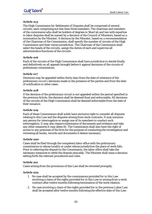The High Commission for Settlement of Disputes shall be comprised of several circuits, each comprising not less than three members. The chairman and members of the commission who shall be holders of degrees in Shari'ah and law with expertise in labor disputes shall be named by a decision of the Council of Ministers, based on a nomination by the Minister. A decision by the Minister, based on a recommendation of the Chairman of the Commission, shall specify the number of circuits of the High Commission and their venue jurisdiction. The Chairman of the Commission shall select the heads of the circuits, assign the duties of each and supervise all administrative functions of the circuits.

# **Article 216**

Each of the circuits of the High Commission shall have jurisdiction to decide finally and definitively on all appeals brought before it against decisions of the circuits of preliminary commissions.

# **Article 217**

Decisions may be appealed within thirty days from the date of utterance of the preliminary circuit's decisions made in the presence of the parties and from the date of notification in other cases.

# **Article 218**

If the decision of the preliminary circuit is not appealed within the period specified in the previous Article, the decision shall be deemed final and enforceable. All decisions of the circuits of the High Commission shall be deemed enforceable from the date of their issuance.

# **Article 219**

Each of these Commissions shall solely have exclusive right to consider all disputes relating to this Law and the disputes arising from work contracts. It may summon any person for interrogation or assign one of its members to conduct such interrogation.It may also require submission of documents and evidence and take any other measures it may deem fit. The Commission shall also have the right of access to any premises of the firm for the purpose of conducting the investigation and reviewing all books, records and documents it deems necessary.

#### **Article 220**

Cases shall be filed through the competent labor office with the preliminary commissions in whose locality or under whose jurisdiction the place of work falls. Prior to referring the dispute to the Commission, the labor office shall take the necessary measures to settle the dispute amicably. The Minister shall issue a decision setting forth the relevant procedures and rules.

# **Article 221**

Cases arising from the provisions of this Law shall be reviewed promptly.

#### **Article 222**

- 1. No case shall be accepted by the commissions provided for in this Law involving a claim of the rights provided for in this Law or arising from a work contract after twelve months following termination of the work relation.
- 2. No case involving a claim of the rights provided for in the previous Labor Law shall be accepted after twelve months following the effective date of this Law.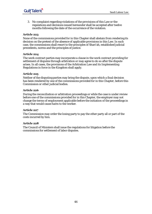3. No complaint regarding violations of the provisions of this Law or the regulations and decisions issued hereunder shall be accepted after twelve months following the date of the occurrence of the violation.

#### **Article 223**

None of the commissions provided for in this Chapter shall abstain from rendering its decision on the pretext of the absence of applicable provisions in this Law. In such case, the commissions shall resort to the principles of Shari'ah, established judicial precedents, norms and the principles of justice.

#### **Article 224**

The work contract parties may incorporate a clause in the work contract providing for settlement of disputes through arbitration or may agree to do so after the dispute arises. In all cases, the provisions of the Arbitration Law and its Implementing Regulations in force in the Kingdom shall apply.

#### **Article 225**

Neither of the disputing parties may bring the dispute, upon which a final decision has been rendered by one of the commissions provided for in this Chapter, before this Commission or other judicial bodies.

#### **Article 226**

During the reconciliation or arbitration proceedings or while the case is under review before one of the commissions provided for in this Chapter, the employer may not change the terms of employment applicable before the initiation of the proceedings in a way that would cause harm to the worker.

#### **Article 227**

The Commission may order the losing party to pay the other party all or part of the costs incurred by him.

#### **Article 228**

The Council of Ministers shall issue the regulations for litigation before the commissions for settlement of labor disputes.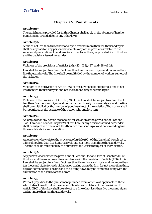# **Chapter XV: Punishments**

# **Article 229**

The punishments provided for in this Chapter shall apply in the absence of harsher punishments provided for in any other laws.

# **Article 230**

A fine of not less than three thousand riyals and not more than ten thousand riyals shall be imposed on any person who violates any of the provisions related to the vocational preparation of Saudi workers to replace others, as provided for in this Law and the decisions issued hereunder.

# **Article 231**

Violators of the provisions of Articles (16), (25), (33), (37) and (38) of this

Law shall be subject to a fine of not less than two thousand riyals and not more than five thousand riyals. The fine shall be multiplied by the number of workers subject of the violation.

# **Article 232**

Violators of the provision of Article (30) of this Law shall be subject to a fine of not less than ten thousand riyals and not more than thirty thousand riyals.

# **Article 233**

Violators of the provision of Article (39) of this Law shall be subject to a fine of not less than five thousand riyals and not more than twenty thousand riyals, and the fine shall be multiplied by the number of people subject of the violation. The worker shall be repatriated at the expense of the person who employs him.

# **Article 234**

An employer or any person responsible for violation of the provisions of Sections Two, Three and Four of Chapter VI of this Law, or any decisions issued hereunder shall be subject to a fine of not less than two thousand riyals and not exceeding five thousand riyals for each violation.

# **Article 235**

An employer who violates the provision of Article (90) of this Law shall be subject to a fine of not less than five hundred riyals and not more than three thousand riyals. The fine shall be multiplied by the number of the workers subject of the violation.

# **Article 236**

Any person who violates the provisions of Sections One and Two of Chapter VIII of this Law and the rules issued in accordance with the provision of Article (121) of this Law shall be subject to a fine of not less than three thousand riyals and not more than ten thousand riyals for each violation or closing down the firm for not more than thirty days or permanently. The fine and the closing down may be combined along with the elimination of the source of the hazard.

# **Article 237**

Without prejudice to the punishment provided for in other laws applicable to those who obstruct an official in the course of his duties, violators of the provisions of Article (199) of this Law shall be subject to a fine of not less than five thousand riyals and not more than ten thousand riyals.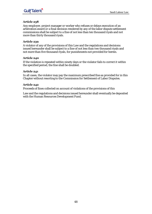Any employer, project manager or worker who refuses or delays execution of an arbitration award or a final decision rendered by any of the labor dispute settlement commissions shall be subject to a fine of not less than ten thousand riyals and not more than thirty thousand riyals.

#### **Article 239**

A violator of any of the provisions of this Law and the regulations and decisions issued hereunder shall be subject to a fine of not less than two thousand riyals and not more than five thousand riyals, for punishments not provided for herein.

#### **Article 240**

If the violation is repeated within ninety days or the violator fails to correct it within the specified period, the fine shall be doubled.

#### **Article 241**

In all cases, the violator may pay the maximum prescribed fine as provided for in this Chapter without resorting to the Commission for Settlement of Labor Disputes.

#### **Article 242**

Proceeds of fines collected on account of violations of the provisions of this

Law and the regulations and decisions issued hereunder shall eventually be deposited with the Human Resources Development Fund.